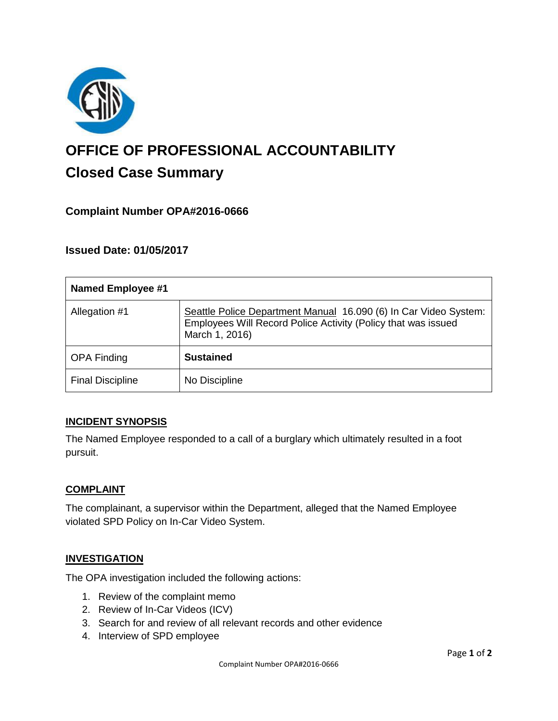

# **OFFICE OF PROFESSIONAL ACCOUNTABILITY Closed Case Summary**

## **Complaint Number OPA#2016-0666**

## **Issued Date: 01/05/2017**

| <b>Named Employee #1</b> |                                                                                                                                                     |
|--------------------------|-----------------------------------------------------------------------------------------------------------------------------------------------------|
| Allegation #1            | Seattle Police Department Manual 16.090 (6) In Car Video System:<br>Employees Will Record Police Activity (Policy that was issued<br>March 1, 2016) |
| <b>OPA Finding</b>       | <b>Sustained</b>                                                                                                                                    |
| <b>Final Discipline</b>  | No Discipline                                                                                                                                       |

### **INCIDENT SYNOPSIS**

The Named Employee responded to a call of a burglary which ultimately resulted in a foot pursuit.

### **COMPLAINT**

The complainant, a supervisor within the Department, alleged that the Named Employee violated SPD Policy on In-Car Video System.

### **INVESTIGATION**

The OPA investigation included the following actions:

- 1. Review of the complaint memo
- 2. Review of In-Car Videos (ICV)
- 3. Search for and review of all relevant records and other evidence
- 4. Interview of SPD employee